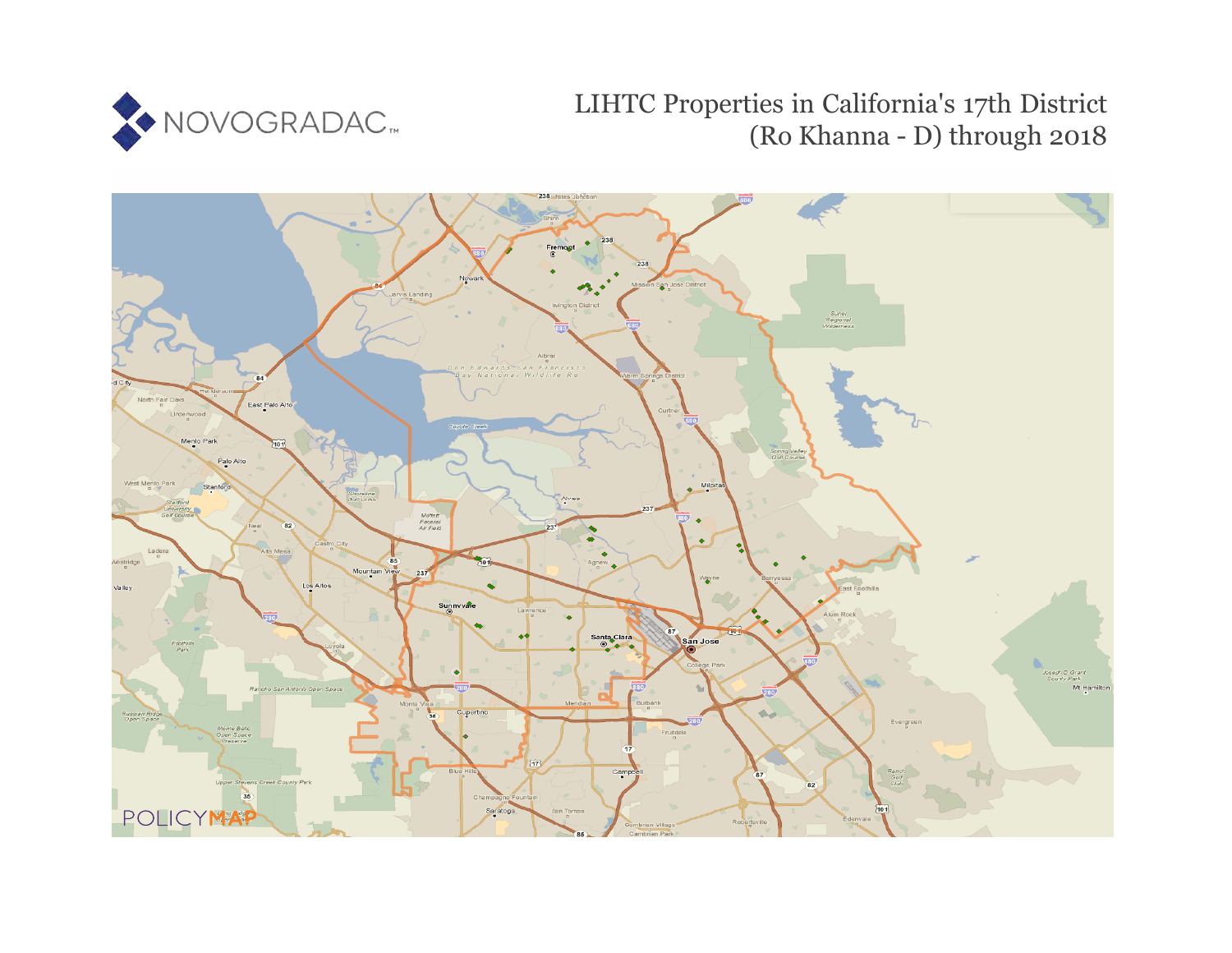

# LIHTC Properties in California's 17th District (Ro Khanna - D) through 2018

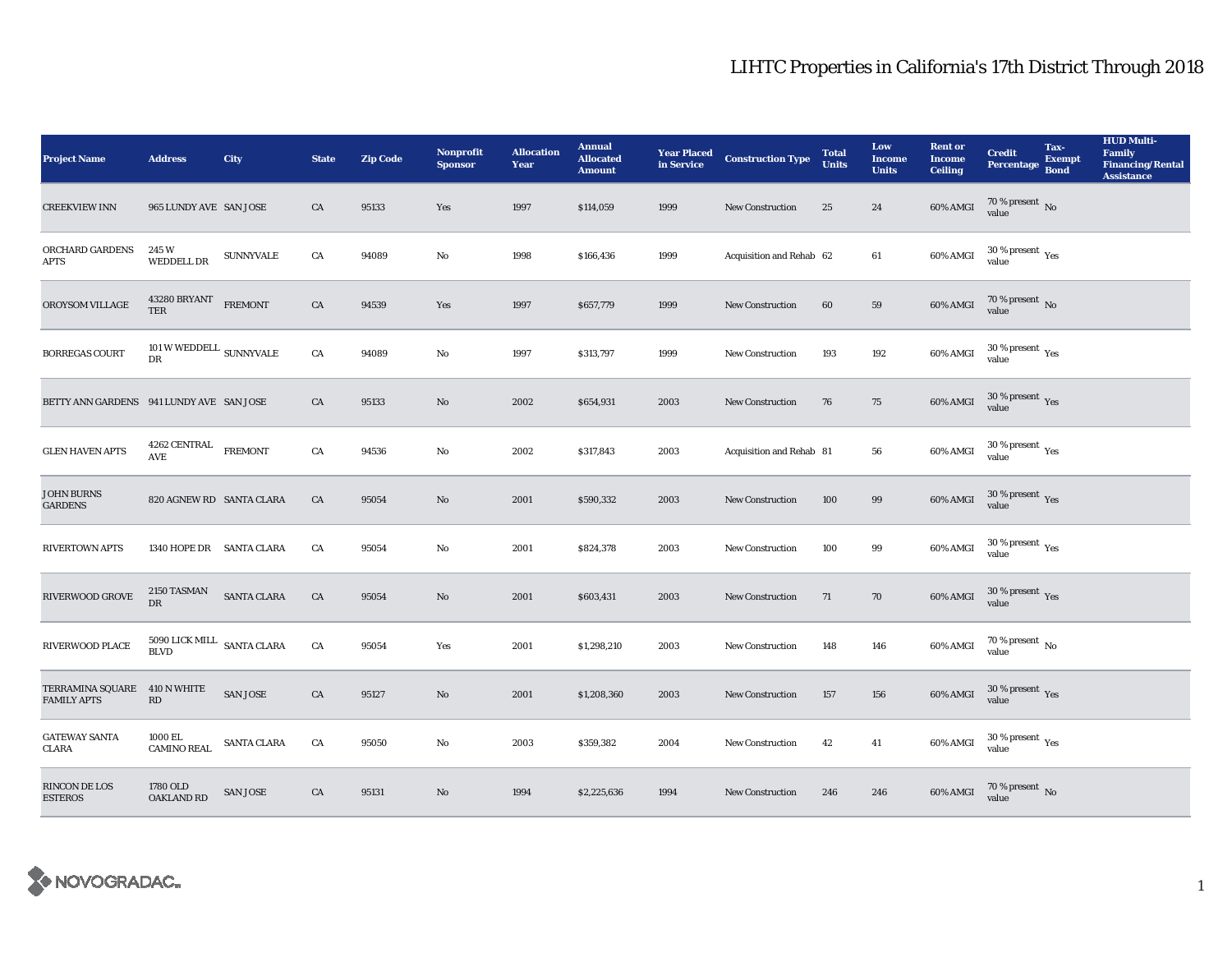| <b>Project Name</b>                      | <b>Address</b>                                   | City             | <b>State</b> | <b>Zip Code</b> | Nonprofit<br><b>Sponsor</b> | <b>Allocation</b><br>Year | <b>Annual</b><br><b>Allocated</b><br><b>Amount</b> | <b>Year Placed<br/>in Service</b> | <b>Construction Type</b> | <b>Total</b><br><b>Units</b> | Low<br><b>Income</b><br><b>Units</b> | <b>Rent or</b><br><b>Income</b><br><b>Ceiling</b> | <b>Credit</b><br><b>Percentage</b>       | Tax-<br><b>Exempt</b><br><b>Bond</b> | <b>HUD Multi-</b><br>Family<br><b>Financing/Rental</b><br><b>Assistance</b> |
|------------------------------------------|--------------------------------------------------|------------------|--------------|-----------------|-----------------------------|---------------------------|----------------------------------------------------|-----------------------------------|--------------------------|------------------------------|--------------------------------------|---------------------------------------------------|------------------------------------------|--------------------------------------|-----------------------------------------------------------------------------|
| <b>CREEKVIEW INN</b>                     | 965 LUNDY AVE SAN JOSE                           |                  | CA           | 95133           | Yes                         | 1997                      | \$114,059                                          | 1999                              | New Construction         | 25                           | 24                                   | $60\%$ AMGI                                       | $70\,\%$ present $\,$ No value           |                                      |                                                                             |
| ORCHARD GARDENS<br><b>APTS</b>           | 245W<br><b>WEDDELL DR</b>                        | <b>SUNNYVALE</b> | CA           | 94089           | $\mathbf{No}$               | 1998                      | \$166,436                                          | 1999                              | Acquisition and Rehab 62 |                              | 61                                   | 60% AMGI                                          | $30$ % present $\,$ $\rm Yes$<br>value   |                                      |                                                                             |
| OROYSOM VILLAGE                          | 43280 BRYANT<br><b>TER</b>                       | <b>FREMONT</b>   | CA           | 94539           | Yes                         | 1997                      | \$657,779                                          | 1999                              | <b>New Construction</b>  | 60                           | 59                                   | 60% AMGI                                          | $70$ % present $\,$ No value             |                                      |                                                                             |
| <b>BORREGAS COURT</b>                    | 101 W WEDDELL $_{\rm SUNNYVALE}$<br>DR           |                  | CA           | 94089           | No                          | 1997                      | \$313,797                                          | 1999                              | New Construction         | 193                          | 192                                  | 60% AMGI                                          | $30\,\%$ present $\,$ $\rm Yes$<br>value |                                      |                                                                             |
| BETTY ANN GARDENS 941 LUNDY AVE SAN JOSE |                                                  |                  | CA           | 95133           | $\mathbf{No}$               | 2002                      | \$654,931                                          | 2003                              | New Construction         | 76                           | 75                                   | $60\%$ AMGI                                       | $30\,\%$ present $\,$ Yes value          |                                      |                                                                             |
| <b>GLEN HAVEN APTS</b>                   | $4262$ CENTRAL $\_$ FREMONT<br>AVE               |                  | CA           | 94536           | No                          | 2002                      | \$317,843                                          | 2003                              | Acquisition and Rehab 81 |                              | 56                                   | 60% AMGI                                          | $30\,\%$ present $\,\mathrm{Yes}$ value  |                                      |                                                                             |
| <b>JOHN BURNS</b><br><b>GARDENS</b>      | 820 AGNEW RD SANTA CLARA                         |                  | CA           | 95054           | $\mathbf{N}\mathbf{o}$      | 2001                      | \$590,332                                          | 2003                              | <b>New Construction</b>  | 100                          | 99                                   | 60% AMGI                                          | $30\,\%$ present $\,$ Yes value          |                                      |                                                                             |
| <b>RIVERTOWN APTS</b>                    | 1340 HOPE DR SANTA CLARA                         |                  | CA           | 95054           | No                          | 2001                      | \$824,378                                          | 2003                              | New Construction         | 100                          | $\bf{99}$                            | 60% AMGI                                          | $30\,\%$ present $\,$ $\rm Yes$<br>value |                                      |                                                                             |
| RIVERWOOD GROVE                          | 2150 TASMAN<br><b>DR</b>                         | SANTA CLARA      | CA           | 95054           | $\rm No$                    | 2001                      | \$603,431                                          | 2003                              | New Construction         | 71                           | 70                                   | <b>60% AMGI</b>                                   | $30\,\%$ present $\,$ Yes value          |                                      |                                                                             |
| RIVERWOOD PLACE                          | $5090$ LICK MILL $\;$ SANTA CLARA<br><b>BLVD</b> |                  | CA           | 95054           | Yes                         | 2001                      | \$1,298,210                                        | 2003                              | <b>New Construction</b>  | 148                          | 146                                  | 60% AMGI                                          | $70$ % present $\,$ No value             |                                      |                                                                             |
| TERRAMINA SQUARE<br><b>FAMILY APTS</b>   | 410 N WHITE<br>$\mathbf{R}\mathbf{D}$            | SAN JOSE         | CA           | 95127           | $\mathbf{N}\mathbf{o}$      | 2001                      | \$1,208,360                                        | 2003                              | New Construction         | 157                          | 156                                  | 60% AMGI                                          | $30\,\%$ present $\,$ Yes value          |                                      |                                                                             |
| <b>GATEWAY SANTA</b><br><b>CLARA</b>     | 1000 EL<br><b>CAMINO REAL</b>                    | SANTA CLARA      | CA           | 95050           | No                          | 2003                      | \$359,382                                          | 2004                              | New Construction         | 42                           | 41                                   | 60% AMGI                                          | $30\,\%$ present $\,$ Yes value          |                                      |                                                                             |
| RINCON DE LOS<br><b>ESTEROS</b>          | 1780 OLD<br><b>OAKLAND RD</b>                    | <b>SAN JOSE</b>  | ${\rm CA}$   | 95131           | No                          | 1994                      | \$2,225,636                                        | 1994                              | <b>New Construction</b>  | 246                          | 246                                  | 60% AMGI                                          | $70\,\%$ present $\,$ No value           |                                      |                                                                             |

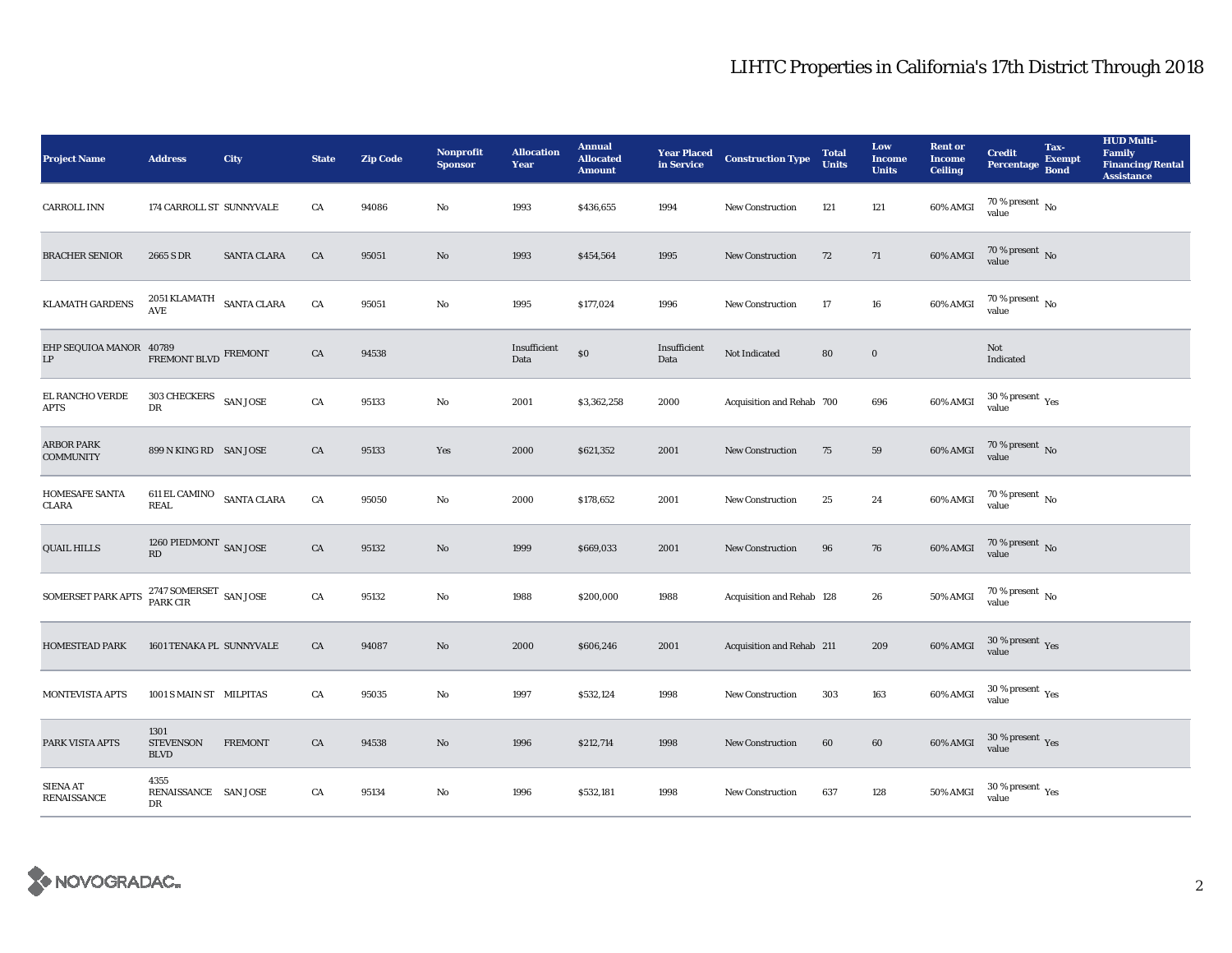| <b>Project Name</b>                               | <b>Address</b>                                            | City               | <b>State</b> | <b>Zip Code</b> | <b>Nonprofit</b><br><b>Sponsor</b> | <b>Allocation</b><br>Year | <b>Annual</b><br><b>Allocated</b><br><b>Amount</b> |                      | <b>Year Placed Construction Type</b><br>in Service | <b>Total</b><br><b>Units</b> | Low<br><b>Income</b><br><b>Units</b> | <b>Rent or</b><br><b>Income</b><br><b>Ceiling</b> | <b>Credit</b><br><b>Percentage</b>        | Tax-<br><b>Exempt</b><br><b>Bond</b> | <b>HUD Multi-</b><br><b>Family</b><br><b>Financing/Rental</b><br><b>Assistance</b> |
|---------------------------------------------------|-----------------------------------------------------------|--------------------|--------------|-----------------|------------------------------------|---------------------------|----------------------------------------------------|----------------------|----------------------------------------------------|------------------------------|--------------------------------------|---------------------------------------------------|-------------------------------------------|--------------------------------------|------------------------------------------------------------------------------------|
| <b>CARROLL INN</b>                                | 174 CARROLL ST SUNNYVALE                                  |                    | CA           | 94086           | No                                 | 1993                      | \$436,655                                          | 1994                 | <b>New Construction</b>                            | 121                          | 121                                  | 60% AMGI                                          | 70 % present $\,$ No $\,$<br>value        |                                      |                                                                                    |
| <b>BRACHER SENIOR</b>                             | 2665 S DR                                                 | <b>SANTA CLARA</b> | CA           | 95051           | No                                 | 1993                      | \$454,564                                          | 1995                 | New Construction                                   | 72                           | 71                                   | 60% AMGI                                          | $70$ % present $\,$ No value              |                                      |                                                                                    |
| <b>KLAMATH GARDENS</b>                            | 2051 KLAMATH SANTA CLARA<br>$\operatorname{\mathsf{AVE}}$ |                    | CA           | 95051           | No                                 | 1995                      | \$177,024                                          | 1996                 | <b>New Construction</b>                            | 17                           | ${\bf 16}$                           | 60% AMGI                                          | $70$ % present $\,$ No value              |                                      |                                                                                    |
| EHP SEQUIOA MANOR 40789<br>$\mathbf{L}\mathbf{P}$ | FREMONT BLVD FREMONT                                      |                    | CA           | 94538           |                                    | Insufficient<br>Data      | $\$0$                                              | Insufficient<br>Data | Not Indicated                                      | 80                           | $\mathbf 0$                          |                                                   | Not<br>Indicated                          |                                      |                                                                                    |
| EL RANCHO VERDE<br><b>APTS</b>                    | 303 CHECKERS<br>DR                                        | <b>SAN JOSE</b>    | ${\rm CA}$   | 95133           | $\mathbf{No}$                      | 2001                      | \$3,362,258                                        | 2000                 | Acquisition and Rehab 700                          |                              | 696                                  | 60% AMGI                                          | $30\,\%$ present $\rm \chi_{ES}$<br>value |                                      |                                                                                    |
| <b>ARBOR PARK</b><br><b>COMMUNITY</b>             | 899 N KING RD SAN JOSE                                    |                    | CA           | 95133           | Yes                                | 2000                      | \$621,352                                          | 2001                 | <b>New Construction</b>                            | 75                           | 59                                   | $60\%$ AMGI                                       | $70$ % present $\,$ No value              |                                      |                                                                                    |
| HOMESAFE SANTA<br>CLARA                           | 611 EL CAMINO SANTA CLARA<br><b>REAL</b>                  |                    | CA           | 95050           | No                                 | 2000                      | \$178,652                                          | 2001                 | New Construction                                   | 25                           | 24                                   | 60% AMGI                                          | 70 % present $\,$ No $\,$<br>value        |                                      |                                                                                    |
| <b>QUAIL HILLS</b>                                | $1260$ PIEDMONT $\,$ SAN JOSE RD                          |                    | CA           | 95132           | No                                 | 1999                      | \$669,033                                          | 2001                 | New Construction                                   | 96                           | 76                                   | $60\%$ AMGI                                       | $70\,\%$ present $\,$ No value            |                                      |                                                                                    |
| SOMERSET PARK APTS                                | $2747$ SOMERSET $\,$ SAN JOSE PARK CIR $\,$               |                    | ${\rm CA}$   | 95132           | No                                 | 1988                      | \$200,000                                          | 1988                 | Acquisition and Rehab 128                          |                              | 26                                   | $50\%$ AMGI                                       | $70$ % present $\,$ No $\,$<br>value      |                                      |                                                                                    |
| <b>HOMESTEAD PARK</b>                             | 1601 TENAKA PL SUNNYVALE                                  |                    | CA           | 94087           | No                                 | 2000                      | \$606,246                                          | 2001                 | Acquisition and Rehab 211                          |                              | 209                                  | 60% AMGI                                          | $30\,\%$ present $\,\mathrm{Yes}$ value   |                                      |                                                                                    |
| MONTEVISTA APTS                                   | 1001 S MAIN ST MILPITAS                                   |                    | CA           | 95035           | No                                 | 1997                      | \$532,124                                          | 1998                 | New Construction                                   | 303                          | 163                                  | 60% AMGI                                          | $30\,\%$ present $\,\mathrm{Yes}$ value   |                                      |                                                                                    |
| PARK VISTA APTS                                   | 1301<br><b>STEVENSON</b><br><b>BLVD</b>                   | <b>FREMONT</b>     | CA           | 94538           | No                                 | 1996                      | \$212,714                                          | 1998                 | <b>New Construction</b>                            | 60                           | 60                                   | 60% AMGI                                          | $30\,\%$ present $\,$ Yes value           |                                      |                                                                                    |
| <b>SIENA AT</b><br>RENAISSANCE                    | 4355<br>RENAISSANCE SAN JOSE<br>DR                        |                    | CA           | 95134           | No                                 | 1996                      | \$532,181                                          | 1998                 | <b>New Construction</b>                            | 637                          | 128                                  | <b>50% AMGI</b>                                   | $30$ % present $\,$ $\rm Yes$<br>value    |                                      |                                                                                    |

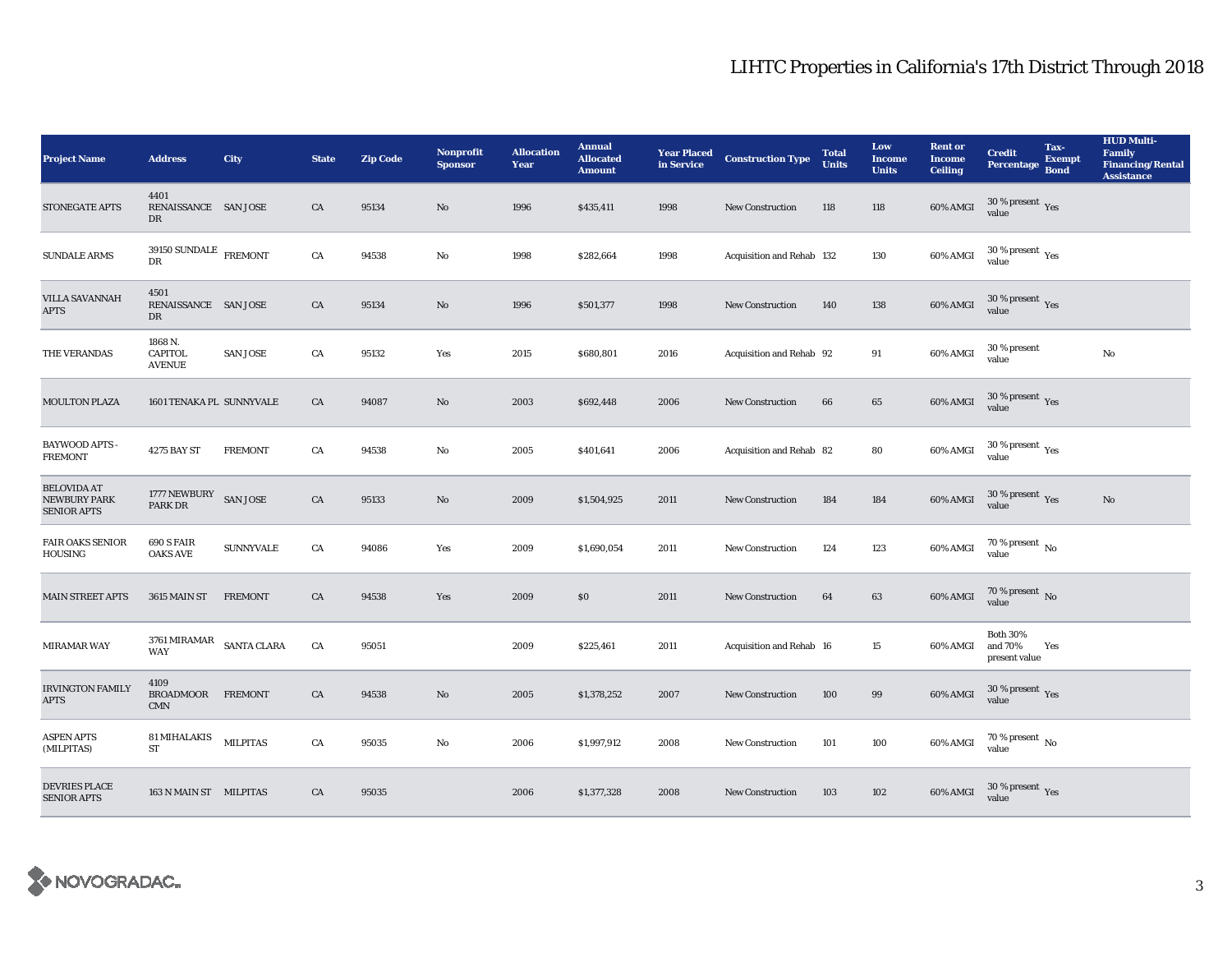| <b>Project Name</b>                                             | <b>Address</b>                                  | City             | <b>State</b> | <b>Zip Code</b> | <b>Nonprofit</b><br><b>Sponsor</b> | <b>Allocation</b><br>Year | <b>Annual</b><br><b>Allocated</b><br><b>Amount</b> | <b>Year Placed</b><br>in Service | <b>Construction Type</b>  | <b>Total</b><br><b>Units</b> | Low<br><b>Income</b><br><b>Units</b> | <b>Rent or</b><br><b>Income</b><br><b>Ceiling</b> | <b>Credit</b><br><b>Percentage</b>                    | Tax-<br><b>Exempt</b><br><b>Bond</b> | <b>HUD Multi-</b><br><b>Family</b><br><b>Financing/Rental</b><br><b>Assistance</b> |
|-----------------------------------------------------------------|-------------------------------------------------|------------------|--------------|-----------------|------------------------------------|---------------------------|----------------------------------------------------|----------------------------------|---------------------------|------------------------------|--------------------------------------|---------------------------------------------------|-------------------------------------------------------|--------------------------------------|------------------------------------------------------------------------------------|
| <b>STONEGATE APTS</b>                                           | 4401<br>RENAISSANCE SAN JOSE<br>DR              |                  | CA           | 95134           | $\mathbf{No}$                      | 1996                      | \$435,411                                          | 1998                             | <b>New Construction</b>   | 118                          | 118                                  | 60% AMGI                                          | 30 % present $\,$ $\rm Yes$<br>value                  |                                      |                                                                                    |
| <b>SUNDALE ARMS</b>                                             | $39150$ SUNDALE $$\rm{FREMONT}$$<br>DR          |                  | ${\rm CA}$   | 94538           | No                                 | 1998                      | \$282,664                                          | 1998                             | Acquisition and Rehab 132 |                              | 130                                  | 60% AMGI                                          | 30 % present $\rm\thinspace\gamma_{\rm e s}$<br>value |                                      |                                                                                    |
| <b>VILLA SAVANNAH</b><br><b>APTS</b>                            | 4501<br>RENAISSANCE SAN JOSE<br>DR              |                  | CA           | 95134           | $\mathbf{No}$                      | 1996                      | \$501,377                                          | 1998                             | <b>New Construction</b>   | 140                          | 138                                  | 60% AMGI                                          | $30\,\%$ present $\,$ Yes value                       |                                      |                                                                                    |
| THE VERANDAS                                                    | 1868 N.<br><b>CAPITOL</b><br><b>AVENUE</b>      | <b>SAN JOSE</b>  | CA           | 95132           | Yes                                | 2015                      | \$680,801                                          | 2016                             | Acquisition and Rehab 92  |                              | 91                                   | 60% AMGI                                          | 30 % present<br>value                                 |                                      | No                                                                                 |
| <b>MOULTON PLAZA</b>                                            | 1601 TENAKA PL SUNNYVALE                        |                  | CA           | 94087           | No                                 | 2003                      | \$692,448                                          | 2006                             | <b>New Construction</b>   | 66                           | 65                                   | 60% AMGI                                          | $30\,\%$ present $\,$ Yes value                       |                                      |                                                                                    |
| <b>BAYWOOD APTS -</b><br><b>FREMONT</b>                         | 4275 BAY ST                                     | <b>FREMONT</b>   | CA           | 94538           | No                                 | 2005                      | \$401,641                                          | 2006                             | Acquisition and Rehab 82  |                              | 80                                   | 60% AMGI                                          | $30\,\%$ present $\,$ Yes value                       |                                      |                                                                                    |
| <b>BELOVIDA AT</b><br><b>NEWBURY PARK</b><br><b>SENIOR APTS</b> | 1777 NEWBURY<br><b>PARK DR</b>                  | <b>SAN JOSE</b>  | CA           | 95133           | No                                 | 2009                      | \$1,504,925                                        | 2011                             | New Construction          | 184                          | 184                                  | 60% AMGI                                          | $30\,\%$ present $\,$ $_{\rm Yes}$<br>value           |                                      | No                                                                                 |
| <b>FAIR OAKS SENIOR</b><br>HOUSING                              | 690 S FAIR<br><b>OAKS AVE</b>                   | <b>SUNNYVALE</b> | CA           | 94086           | Yes                                | 2009                      | \$1,690,054                                        | 2011                             | <b>New Construction</b>   | 124                          | 123                                  | 60% AMGI                                          | $70$ % present $\,$ No $\,$<br>value                  |                                      |                                                                                    |
| <b>MAIN STREET APTS</b>                                         | 3615 MAIN ST                                    | <b>FREMONT</b>   | CA           | 94538           | Yes                                | 2009                      | \$0                                                | 2011                             | <b>New Construction</b>   | 64                           | 63                                   | 60% AMGI                                          | $70$ % present $\,$ No value                          |                                      |                                                                                    |
| MIRAMAR WAY                                                     | 3761 MIRAMAR $$\rm \,SANTA$ CLARA<br><b>WAY</b> |                  | CA           | 95051           |                                    | 2009                      | \$225,461                                          | 2011                             | Acquisition and Rehab 16  |                              | $15\,$                               | 60% AMGI                                          | <b>Both 30%</b><br>and 70%<br>present value           | Yes                                  |                                                                                    |
| <b>IRVINGTON FAMILY</b><br><b>APTS</b>                          | 4109<br>BROADMOOR FREMONT<br><b>CMN</b>         |                  | CA           | 94538           | No                                 | 2005                      | \$1,378,252                                        | 2007                             | <b>New Construction</b>   | 100                          | 99                                   | 60% AMGI                                          | $30\,\%$ present $\,$ Yes value                       |                                      |                                                                                    |
| <b>ASPEN APTS</b><br>(MILPITAS)                                 | <b>81 MIHALAKIS</b><br><b>ST</b>                | <b>MILPITAS</b>  | CA           | 95035           | No                                 | 2006                      | \$1,997,912                                        | 2008                             | New Construction          | 101                          | 100                                  | 60% AMGI                                          | $70\,\%$ present $\,$ No value                        |                                      |                                                                                    |
| <b>DEVRIES PLACE</b><br><b>SENIOR APTS</b>                      | 163 N MAIN ST MILPITAS                          |                  | CA           | 95035           |                                    | 2006                      | \$1,377,328                                        | 2008                             | <b>New Construction</b>   | 103                          | 102                                  | 60% AMGI                                          | 30 % present $\,$ $\rm Yes$<br>value                  |                                      |                                                                                    |

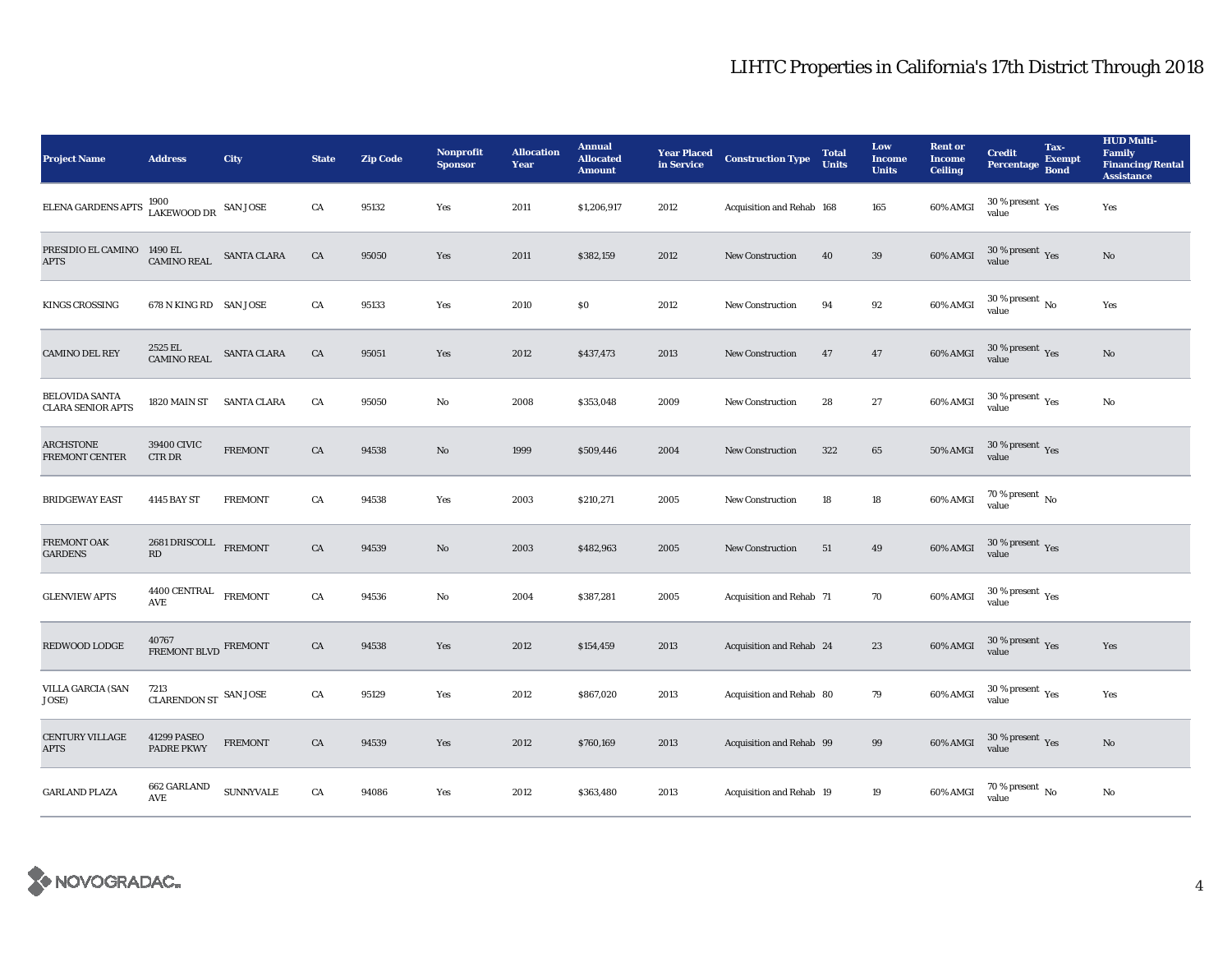| <b>Project Name</b>                               | <b>Address</b>                                      | City               | <b>State</b> | <b>Zip Code</b> | <b>Nonprofit</b><br><b>Sponsor</b> | <b>Allocation</b><br>Year | <b>Annual</b><br><b>Allocated</b><br><b>Amount</b> | <b>Year Placed<br/>in Service</b> | <b>Construction Type</b>  | <b>Total</b><br><b>Units</b> | Low<br><b>Income</b><br><b>Units</b> | <b>Rent or</b><br><b>Income</b><br><b>Ceiling</b> | <b>Credit</b><br><b>Percentage</b>              | Tax-<br><b>Exempt</b><br><b>Bond</b> | <b>HUD Multi-</b><br>Family<br><b>Financing/Rental</b><br><b>Assistance</b> |
|---------------------------------------------------|-----------------------------------------------------|--------------------|--------------|-----------------|------------------------------------|---------------------------|----------------------------------------------------|-----------------------------------|---------------------------|------------------------------|--------------------------------------|---------------------------------------------------|-------------------------------------------------|--------------------------------------|-----------------------------------------------------------------------------|
| ELENA GARDENS APTS                                | $1900$ $$\tt{LAN~JOSE}$$ $$\tt{SAN~JOSE}$$          |                    | CA           | 95132           | Yes                                | 2011                      | \$1,206,917                                        | 2012                              | Acquisition and Rehab 168 |                              | 165                                  | 60% AMGI                                          | $30$ % present $\,$ $\rm Yes$<br>value          |                                      | Yes                                                                         |
| PRESIDIO EL CAMINO<br><b>APTS</b>                 | 1490 EL<br><b>CAMINO REAL</b>                       | <b>SANTA CLARA</b> | CA           | 95050           | Yes                                | 2011                      | \$382,159                                          | 2012                              | <b>New Construction</b>   | 40                           | 39                                   | 60% AMGI                                          | $30\,\%$ present $\,$ Yes value                 |                                      | No                                                                          |
| <b>KINGS CROSSING</b>                             | 678 N KING RD SAN JOSE                              |                    | CA           | 95133           | Yes                                | 2010                      | \$0                                                | 2012                              | <b>New Construction</b>   | 94                           | $\bf{92}$                            | 60% AMGI                                          | $30$ % present $\,$ No value                    |                                      | Yes                                                                         |
| <b>CAMINO DEL REY</b>                             | 2525 EL<br><b>CAMINO REAL</b>                       | <b>SANTA CLARA</b> | CA           | 95051           | Yes                                | 2012                      | \$437,473                                          | 2013                              | New Construction          | 47                           | 47                                   | $60\%$ AMGI                                       | $30\,\%$ present $\,$ Yes value                 |                                      | $\mathbf{N}\mathbf{o}$                                                      |
| <b>BELOVIDA SANTA</b><br><b>CLARA SENIOR APTS</b> | 1820 MAIN ST SANTA CLARA                            |                    | CA           | 95050           | No                                 | 2008                      | \$353,048                                          | 2009                              | <b>New Construction</b>   | 28                           | $\bf 27$                             | $60\%$ AMGI                                       | $30\,\%$ present $\rm\thinspace_{Yes}$<br>value |                                      | No                                                                          |
| <b>ARCHSTONE</b><br>FREMONT CENTER                | 39400 CIVIC<br>CTR DR                               | <b>FREMONT</b>     | CA           | 94538           | $\mathbf{N}\mathbf{o}$             | 1999                      | \$509,446                                          | 2004                              | New Construction          | 322                          | 65                                   | <b>50% AMGI</b>                                   | $30\,\%$ present $\,\mathrm{Yes}$ value         |                                      |                                                                             |
| <b>BRIDGEWAY EAST</b>                             | 4145 BAY ST                                         | <b>FREMONT</b>     | CA           | 94538           | Yes                                | 2003                      | \$210,271                                          | 2005                              | <b>New Construction</b>   | 18                           | $18\,$                               | 60% AMGI                                          | $70$ % present $\,$ No value                    |                                      |                                                                             |
| FREMONT OAK<br><b>GARDENS</b>                     | 2681 DRISCOLL FREMONT<br>$\mathbf{R}\mathbf{D}$     |                    | CA           | 94539           | No                                 | 2003                      | \$482,963                                          | 2005                              | New Construction          | 51                           | 49                                   | 60% AMGI                                          | $30\,\%$ present $\,\mathrm{Yes}$ value         |                                      |                                                                             |
| <b>GLENVIEW APTS</b>                              | $4400$ CENTRAL $\_$ FREMONT<br>$\operatorname{AVE}$ |                    | CA           | 94536           | No                                 | 2004                      | \$387,281                                          | 2005                              | Acquisition and Rehab 71  |                              | 70                                   | 60% AMGI                                          | $30\,\%$ present $\,\mathrm{Yes}$ value         |                                      |                                                                             |
| REDWOOD LODGE                                     | 40767<br>FREMONT BLVD FREMONT                       |                    | CA           | 94538           | Yes                                | 2012                      | \$154,459                                          | 2013                              | Acquisition and Rehab 24  |                              | 23                                   | 60% AMGI                                          | $30\,\%$ present $\,\mathrm{Yes}$ value         |                                      | Yes                                                                         |
| <b>VILLA GARCIA (SAN</b><br>JOSE)                 | 7213<br>CLARENDON ST $\,$ SAN JOSE                  |                    | CA           | 95129           | Yes                                | 2012                      | \$867,020                                          | 2013                              | Acquisition and Rehab 80  |                              | 79                                   | 60% AMGI                                          | $30\,\%$ present $\,\mathrm{Yes}$ value         |                                      | Yes                                                                         |
| CENTURY VILLAGE<br><b>APTS</b>                    | 41299 PASEO<br>PADRE PKWY                           | <b>FREMONT</b>     | CA           | 94539           | Yes                                | 2012                      | \$760,169                                          | 2013                              | Acquisition and Rehab 99  |                              | 99                                   | $60\%$ AMGI                                       | $30\,\%$ present $\,\mathrm{Yes}$ value         |                                      | $\mathbf{No}$                                                               |
| <b>GARLAND PLAZA</b>                              | 662 GARLAND<br>AVE                                  | <b>SUNNYVALE</b>   | CA           | 94086           | Yes                                | 2012                      | \$363,480                                          | 2013                              | Acquisition and Rehab 19  |                              | 19                                   | 60% AMGI                                          | $70\,\%$ present $_{\rm{No}}$                   |                                      | No                                                                          |